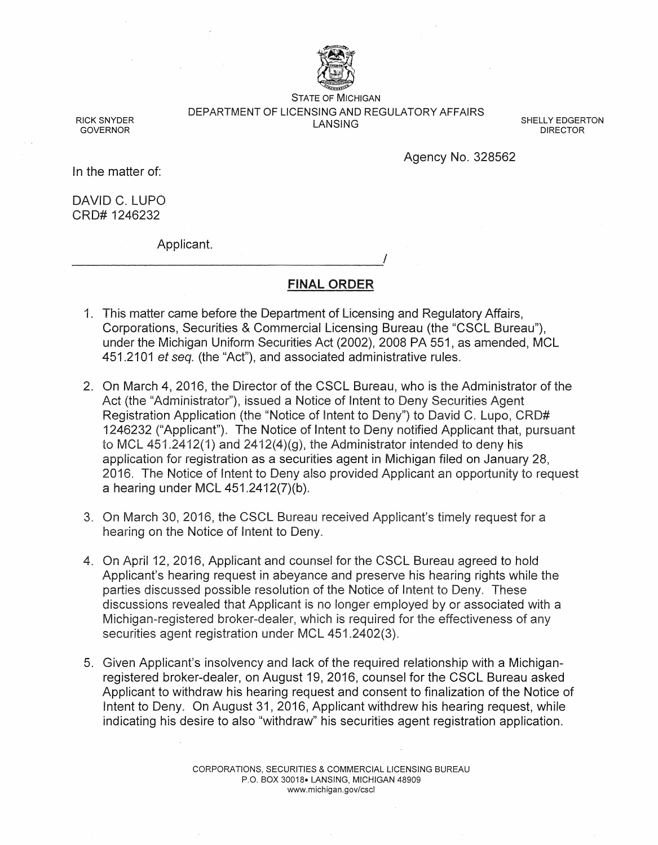

STATE OF MICHIGAN DEPARTMENT OF LICENSING AND REGULATORY AFFAIRS LANSING

SHELLY EDGERTON DIRECTOR

Agency No. 328562

RICK SNYDER GOVERNOR

In the matter of:

DAVID C. LUPO CRD# 1246232

Applicant.

----------------------------------------~/

FINAL ORDER

- 1. This matter came before the Department of Licensing and Regulatory Affairs, Corporations, Securities & Commercial Licensing Bureau (the "CSCL Bureau"), under the Michigan Uniform Securities Act (2002), 2008 PA 551, as amended, MCL 451.2101 et seq. (the "Act"), and associated administrative rules.
- 2. On March 4, 2016, the Director of the CSCL Bureau, who is the Administrator of the Act (the "Administrator"), issued a Notice of Intent to Deny Securities Agent Registration Application (the "Notice of Intent to Deny") to David C. Lupo, CRD# 1246232 ("Applicant"). The Notice of Intent to Deny notified Applicant that, pursuant to MCL 451.2412(1) and  $2412(4)(g)$ , the Administrator intended to deny his application for registration as a securities agent in Michigan filed on January 28, 2016. The Notice of Intent to Deny also provided Applicant an opportunity to request a hearing under MCL 451.2412(7)(b ).
- 3. On March 30, 2016, the CSCL Bureau received Applicant's timely request for a hearing on the Notice of Intent to Deny.
- 4. On April 12, 2016, Applicant and counsel for the CSCL Bureau agreed to hold Applicant's hearing request in abeyance and preserve his hearing rights while the parties discussed possible resolution of the Notice of Intent to Deny. These discussions revealed that Applicant is no longer employed by or associated with a Michigan-registered broker-dealer, which is required for the effectiveness of any securities agent registration under MCL 451.2402(3).
- 5. Given Applicant's insolvency and lack of the required relationship with a Michiganregistered broker-dealer, on August 19, 2016, counsel for the CSCL Bureau asked Applicant to withdraw his hearing request and consent to finalization of the Notice of Intent to Deny. On August 31, 2016, Applicant withdrew his hearing request, while indicating his desire to also "withdraw" his securities agent registration application.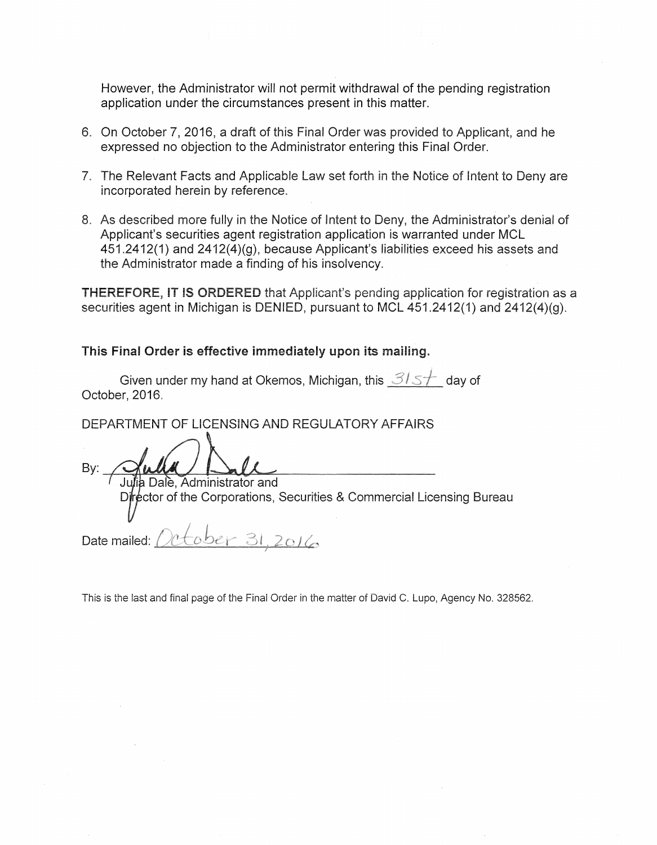However, the Administrator will not permit withdrawal of the pending registration application under the circumstances present in this matter.

- 6. On October 7, 2016, a draft of this Final Order was provided to Applicant, and he expressed no objection to the Administrator entering this Final Order.
- 7. The Relevant Facts and Applicable Law set forth in the Notice of Intent to Deny are incorporated herein by reference.
- 8. As described more fully in the Notice of Intent to Deny, the Administrator's denial of Applicant's securities agent registration application is warranted under MCL 451.2412(1) and 2412(4)(g), because Applicant's liabilities exceed his assets and the Administrator made a finding of his insolvency.

THEREFORE, IT IS ORDERED that Applicant's pending application for registration as a securities agent in Michigan is DENIED, pursuant to MCL 451.2412(1) and 2412(4)(g).

## This Final Order is effective immediately upon its mailing.

| Given under my hand at Okemos, Michigan, this $\mathcal{3}{\setminus}$ day of |  |  |
|-------------------------------------------------------------------------------|--|--|
| October, 2016.                                                                |  |  |

DEPARTMENT OF LICENSING AND REGULATORY AFFAIRS

By:  $\frac{Qudu}{Julab}$  Administrator and

Director of the Corporations, Securities & Commercial Licensing Bureau

er 31.2016 Date mailed:

This is the last and final page of the Final Order in the matter of David C. Lupo, Agency No. 328562.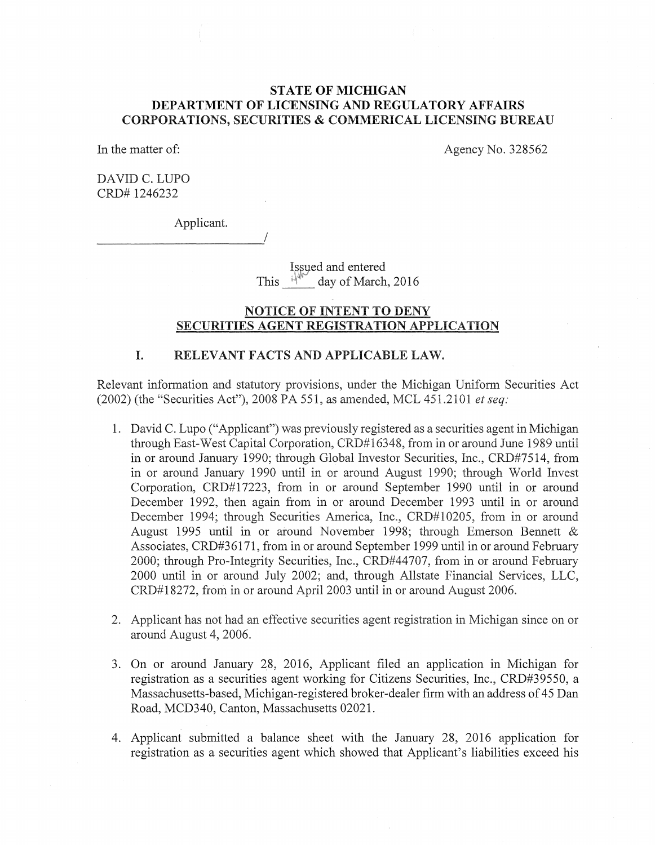# **STATE OF MICHIGAN DEPARTMENT OF LICENSING AND REGULATORY AFFAIRS**  CORPORATIONS, SECURITIES & COMMERICAL LICENSING BUREAU

In the matter of:

Agency No. 328562

DAVID C. LUPO CRD# 1246232

Applicant.

----------------------~/

Issued and entered This  $\frac{1}{4}$ <sup>W</sup> day of March, 2016

### NOTICE OF INTENT TO DENY SECURITIES AGENT REGISTRATION APPLICATION

### I. RELEVANT FACTS AND APPLICABLE LAW.

Relevant information and statutory provisions, under the Michigan Uniform Securities Act (2002) (the "Securities Act"), 2008 PA 551, as amended, MCL 451.2101 *et seq:* 

- 1. David C. Lupo ("Applicant") was previously registered as a securities agent in Michigan through East-West Capital Corporation, CRD#16348, from in or around June 1989 until in or around January 1990; through Global Investor Securities, Inc., CRD#7514, from in or around January 1990 until in or around August 1990; through World Invest Corporation, CRD#17223, from in or around September 1990 until in or around December 1992, then again from in or around December 1993 until in or around December 1994; through Securities America, Inc., CRD#10205, from in or around August 1995 until in or around November 1998; through Emerson Bennett & Associates, CRD#36171, from in or around September 1999 until in or around February 2000; through Pro-Integrity Securities, Inc., CRD#44707, from in or around February 2000 until in or around July 2002; and, through Allstate Financial Services, LLC, CRD#18272, from in or around April2003 until in or around August 2006.
- 2. Applicant has not had an effective securities agent registration in Michigan since on or around August 4, 2006.
- 3. On or around January 28, 2016, Applicant filed an application in Michigan for registration as a securities agent working for Citizens Securities, Inc., CRD#39550, a Massachusetts-based, Michigan-registered broker-dealer firm with an address of 45 Dan Road, MCD340, Canton, Massachusetts 02021.
- 4. Applicant submitted a balance sheet with the January 28, 2016 application for registration as a securities agent which showed that Applicant's liabilities exceed his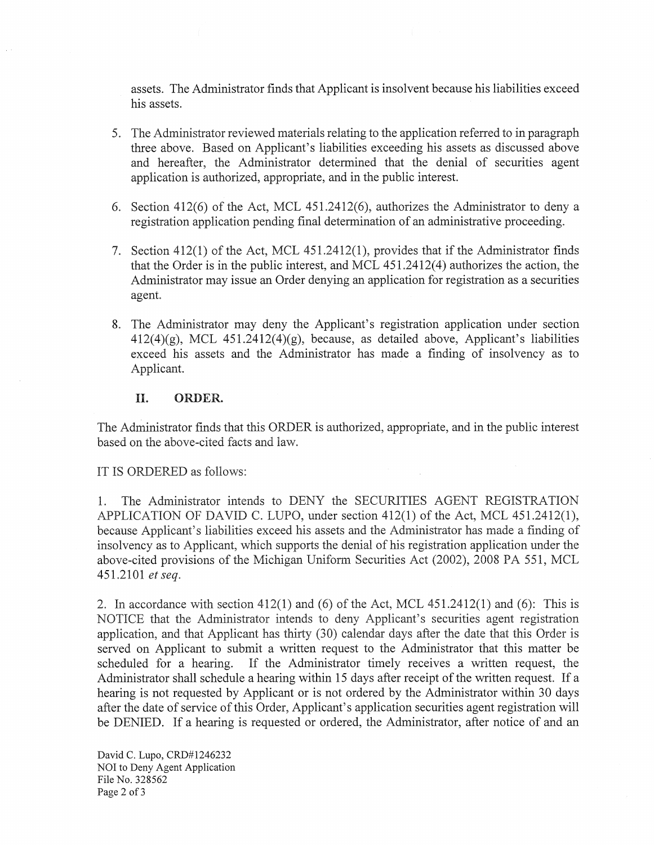assets. The Administrator finds that Applicant is insolvent because his liabilities exceed his assets.

- 5. The Administrator reviewed materials relating to the application referred to in paragraph three above. Based on Applicant's liabilities exceeding his assets as discussed above and hereafter, the Administrator determined that the denial of securities agent application is authorized, appropriate, and in the public interest.
- 6. Section 412(6) of the Act, MCL 451.2412(6), authorizes the Administrator to deny a registration application pending final determination of an administrative proceeding.
- 7. Section  $412(1)$  of the Act, MCL  $451.2412(1)$ , provides that if the Administrator finds that the Order is in the public interest, and MCL 451.2412(4) authorizes the action, the Administrator may issue an Order denying an application for registration as a securities agent.
- 8. The Administrator may deny the Applicant's registration application under section  $412(4)(g)$ , MCL  $451.2412(4)(g)$ , because, as detailed above, Applicant's liabilities exceed his assets and the Administrator has made a finding of insolvency as to Applicant.

#### II. **ORDER.**

The Administrator fmds that this ORDER is authorized, appropriate, and in the public interest based on the above-cited facts and law.

IT IS ORDERED as follows:

1. The Administrator intends to DENY the SECURITIES AGENT REGISTRATION APPLICATION OF DAVID C. LUPO, under section 412(1) of the Act, MCL 451.2412(1), because Applicant's liabilities exceed his assets and the Administrator has made a finding of insolvency as to Applicant, which supports the denial of his registration application under the above-cited provisions of the Michigan Uniform Securities Act (2002), 2008 PA 551, MCL 451.2101 *et seq.* 

2. In accordance with section 412(1) and (6) of the Act, MCL 451.2412(1) and (6): This is NOTICE that the Administrator intends to deny Applicant's securities agent registration application, and that Applicant has thirty (30) calendar days after the date that this Order is served on Applicant to submit a written request to the Administrator that this matter be scheduled for a hearing. If the Administrator timely receives a written request, the Administrator shall schedule a hearing within 15 days after receipt of the written request. If a hearing is not requested by Applicant or is not ordered by the Administrator within 30 days after the date of service of this Order, Applicant's application securities agent registration will be DENIED. If a hearing is requested or ordered, the Administrator, after notice of and an

David C. Lupo, CRD#1246232 NOI to Deny Agent Application File No. 328562 Page 2 of 3